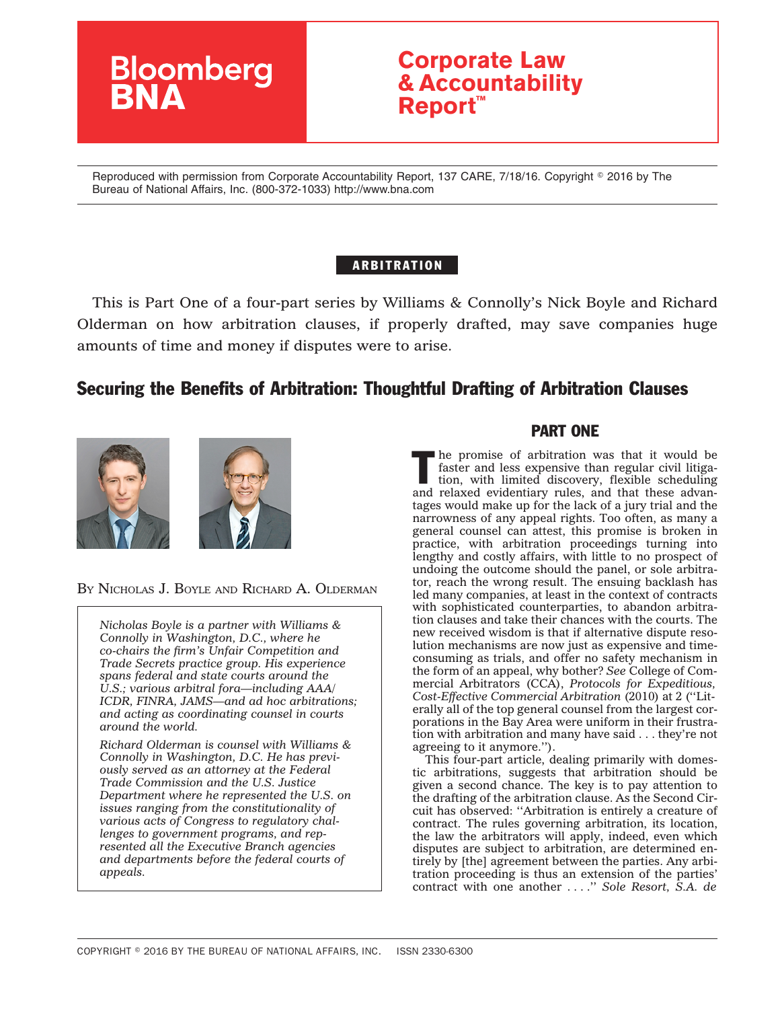

# **Corporate Law & Accountability Report™**

Reproduced with permission from Corporate Accountability Report, 137 CARE, 7/18/16. Copyright © 2016 by The Bureau of National Affairs, Inc. (800-372-1033) http://www.bna.com

### ARBITRATION

This is Part One of a four-part series by Williams & Connolly's Nick Boyle and Richard Olderman on how arbitration clauses, if properly drafted, may save companies huge amounts of time and money if disputes were to arise.

## Securing the Benefits of Arbitration: Thoughtful Drafting of Arbitration Clauses



BY NICHOLAS J. BOYLE AND RICHARD A. OLDERMAN

*Nicholas Boyle is a partner with Williams & Connolly in Washington, D.C., where he co-chairs the firm's Unfair Competition and Trade Secrets practice group. His experience spans federal and state courts around the U.S.; various arbitral fora—including AAA/ ICDR, FINRA, JAMS—and ad hoc arbitrations; and acting as coordinating counsel in courts around the world.*

*Richard Olderman is counsel with Williams & Connolly in Washington, D.C. He has previously served as an attorney at the Federal Trade Commission and the U.S. Justice Department where he represented the U.S. on issues ranging from the constitutionality of various acts of Congress to regulatory challenges to government programs, and represented all the Executive Branch agencies and departments before the federal courts of appeals.*

### PART ONE

The promise of arbitration was that it would be faster and less expensive than regular civil litigation, with limited discovery, flexible scheduling faster and less expensive than regular civil litigaand relaxed evidentiary rules, and that these advantages would make up for the lack of a jury trial and the narrowness of any appeal rights. Too often, as many a general counsel can attest, this promise is broken in practice, with arbitration proceedings turning into lengthy and costly affairs, with little to no prospect of undoing the outcome should the panel, or sole arbitrator, reach the wrong result. The ensuing backlash has led many companies, at least in the context of contracts with sophisticated counterparties, to abandon arbitration clauses and take their chances with the courts. The new received wisdom is that if alternative dispute resolution mechanisms are now just as expensive and timeconsuming as trials, and offer no safety mechanism in the form of an appeal, why bother? *See* College of Commercial Arbitrators (CCA), *Protocols for Expeditious, Cost-Effective Commercial Arbitration* (2010) at 2 (''Literally all of the top general counsel from the largest corporations in the Bay Area were uniform in their frustration with arbitration and many have said . . . they're not agreeing to it anymore.'').

This four-part article, dealing primarily with domestic arbitrations, suggests that arbitration should be given a second chance. The key is to pay attention to the drafting of the arbitration clause. As the Second Circuit has observed: ''Arbitration is entirely a creature of contract. The rules governing arbitration, its location, the law the arbitrators will apply, indeed, even which disputes are subject to arbitration, are determined entirely by [the] agreement between the parties. Any arbitration proceeding is thus an extension of the parties' contract with one another . . . .'' *Sole Resort, S.A. de*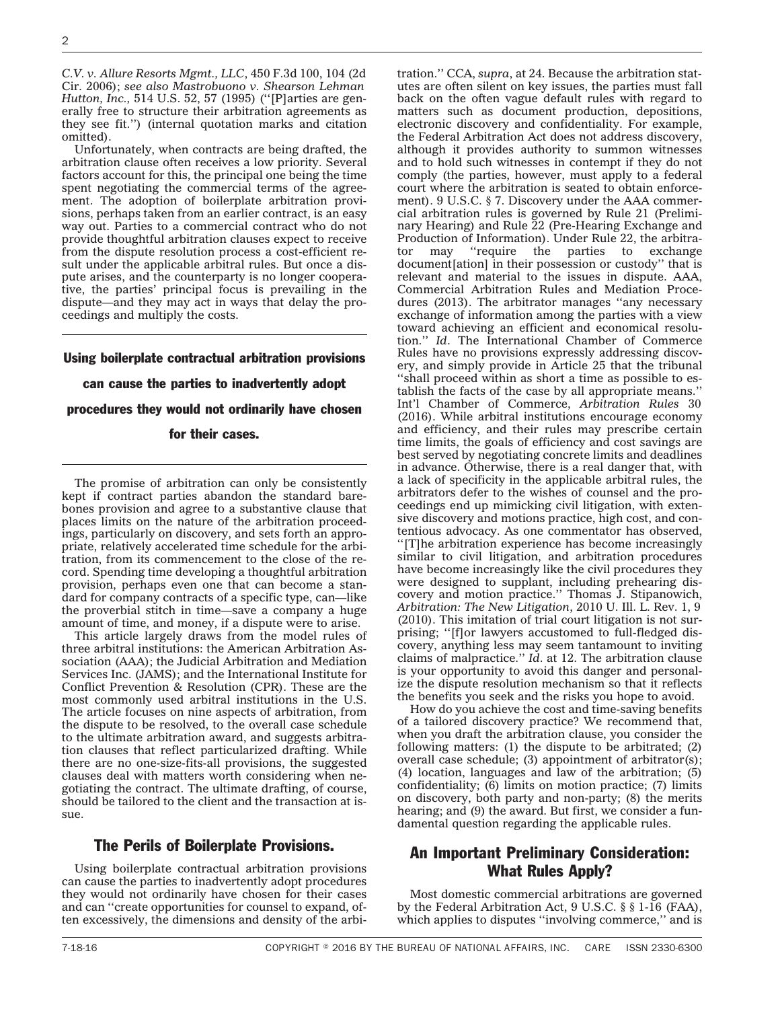*C.V. v. Allure Resorts Mgmt., LLC*, 450 F.3d 100, 104 (2d Cir. 2006); *see also Mastrobuono v. Shearson Lehman Hutton, Inc.,* 514 U.S. 52, 57 (1995) (''[P]arties are generally free to structure their arbitration agreements as they see fit.'') (internal quotation marks and citation omitted).

Unfortunately, when contracts are being drafted, the arbitration clause often receives a low priority. Several factors account for this, the principal one being the time spent negotiating the commercial terms of the agreement. The adoption of boilerplate arbitration provisions, perhaps taken from an earlier contract, is an easy way out. Parties to a commercial contract who do not provide thoughtful arbitration clauses expect to receive from the dispute resolution process a cost-efficient result under the applicable arbitral rules. But once a dispute arises, and the counterparty is no longer cooperative, the parties' principal focus is prevailing in the dispute—and they may act in ways that delay the proceedings and multiply the costs.

### Using boilerplate contractual arbitration provisions

#### can cause the parties to inadvertently adopt

procedures they would not ordinarily have chosen

#### for their cases.

The promise of arbitration can only be consistently kept if contract parties abandon the standard barebones provision and agree to a substantive clause that places limits on the nature of the arbitration proceedings, particularly on discovery, and sets forth an appropriate, relatively accelerated time schedule for the arbitration, from its commencement to the close of the record. Spending time developing a thoughtful arbitration provision, perhaps even one that can become a standard for company contracts of a specific type, can—like the proverbial stitch in time—save a company a huge amount of time, and money, if a dispute were to arise.

This article largely draws from the model rules of three arbitral institutions: the American Arbitration Association (AAA); the Judicial Arbitration and Mediation Services Inc. (JAMS); and the International Institute for Conflict Prevention & Resolution (CPR). These are the most commonly used arbitral institutions in the U.S. The article focuses on nine aspects of arbitration, from the dispute to be resolved, to the overall case schedule to the ultimate arbitration award, and suggests arbitration clauses that reflect particularized drafting. While there are no one-size-fits-all provisions, the suggested clauses deal with matters worth considering when negotiating the contract. The ultimate drafting, of course, should be tailored to the client and the transaction at issue.

### The Perils of Boilerplate Provisions.

Using boilerplate contractual arbitration provisions can cause the parties to inadvertently adopt procedures they would not ordinarily have chosen for their cases and can ''create opportunities for counsel to expand, often excessively, the dimensions and density of the arbitration.'' CCA, *supra*, at 24. Because the arbitration statutes are often silent on key issues, the parties must fall back on the often vague default rules with regard to matters such as document production, depositions, electronic discovery and confidentiality. For example, the Federal Arbitration Act does not address discovery, although it provides authority to summon witnesses and to hold such witnesses in contempt if they do not comply (the parties, however, must apply to a federal court where the arbitration is seated to obtain enforcement). 9 U.S.C. § 7. Discovery under the AAA commercial arbitration rules is governed by Rule 21 (Preliminary Hearing) and Rule 22 (Pre-Hearing Exchange and Production of Information). Under Rule 22, the arbitrator may "require the parties to exchange tor may ''require the parties to exchange document[ation] in their possession or custody'' that is relevant and material to the issues in dispute. AAA, Commercial Arbitration Rules and Mediation Procedures (2013). The arbitrator manages ''any necessary exchange of information among the parties with a view toward achieving an efficient and economical resolution.'' *Id*. The International Chamber of Commerce Rules have no provisions expressly addressing discovery, and simply provide in Article 25 that the tribunal ''shall proceed within as short a time as possible to establish the facts of the case by all appropriate means.'' Int'l Chamber of Commerce, *Arbitration Rules* 30 (2016). While arbitral institutions encourage economy and efficiency, and their rules may prescribe certain time limits, the goals of efficiency and cost savings are best served by negotiating concrete limits and deadlines in advance. Otherwise, there is a real danger that, with a lack of specificity in the applicable arbitral rules, the arbitrators defer to the wishes of counsel and the proceedings end up mimicking civil litigation, with extensive discovery and motions practice, high cost, and contentious advocacy. As one commentator has observed, ''[T]he arbitration experience has become increasingly similar to civil litigation, and arbitration procedures have become increasingly like the civil procedures they were designed to supplant, including prehearing discovery and motion practice.'' Thomas J. Stipanowich, *Arbitration: The New Litigation*, 2010 U. Ill. L. Rev. 1, 9 (2010). This imitation of trial court litigation is not surprising; ''[f]or lawyers accustomed to full-fledged discovery, anything less may seem tantamount to inviting claims of malpractice.'' *Id*. at 12. The arbitration clause is your opportunity to avoid this danger and personalize the dispute resolution mechanism so that it reflects the benefits you seek and the risks you hope to avoid.

How do you achieve the cost and time-saving benefits of a tailored discovery practice? We recommend that, when you draft the arbitration clause, you consider the following matters: (1) the dispute to be arbitrated; (2) overall case schedule; (3) appointment of arbitrator(s); (4) location, languages and law of the arbitration; (5) confidentiality; (6) limits on motion practice; (7) limits on discovery, both party and non-party; (8) the merits hearing; and (9) the award. But first, we consider a fundamental question regarding the applicable rules.

### An Important Preliminary Consideration: What Rules Apply?

Most domestic commercial arbitrations are governed by the Federal Arbitration Act, 9 U.S.C. § § 1-16 (FAA), which applies to disputes "involving commerce," and is